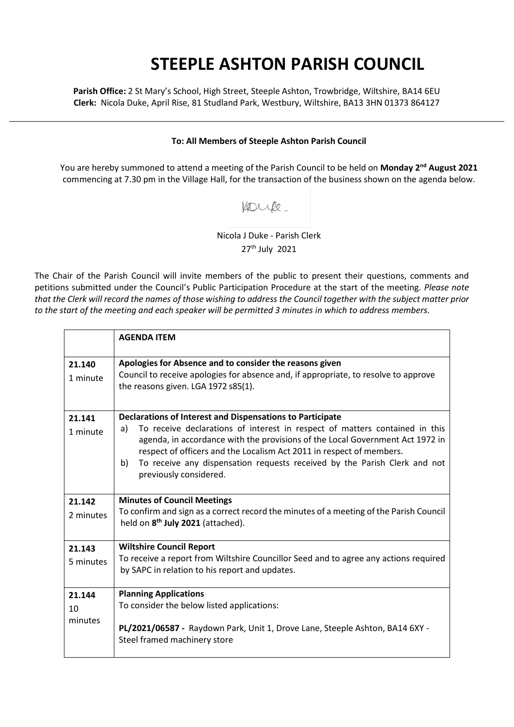## **STEEPLE ASHTON PARISH COUNCIL**

**Parish Office:** 2 St Mary's School, High Street, Steeple Ashton, Trowbridge, Wiltshire, BA14 6EU **Clerk:** Nicola Duke, April Rise, 81 Studland Park, Westbury, Wiltshire, BA13 3HN 01373 864127

## **To: All Members of Steeple Ashton Parish Council**

You are hereby summoned to attend a meeting of the Parish Council to be held on **Monday 2nd August 2021** commencing at 7.30 pm in the Village Hall, for the transaction of the business shown on the agenda below.

## Kouke

Nicola J Duke - Parish Clerk 27th July 2021

The Chair of the Parish Council will invite members of the public to present their questions, comments and petitions submitted under the Council's Public Participation Procedure at the start of the meeting. *Please note that the Clerk will record the names of those wishing to address the Council together with the subject matter prior to the start of the meeting and each speaker will be permitted 3 minutes in which to address members.*

|                         | <b>AGENDA ITEM</b>                                                                                                                                                                                                                                                                                                                                                                                                   |
|-------------------------|----------------------------------------------------------------------------------------------------------------------------------------------------------------------------------------------------------------------------------------------------------------------------------------------------------------------------------------------------------------------------------------------------------------------|
| 21.140<br>1 minute      | Apologies for Absence and to consider the reasons given<br>Council to receive apologies for absence and, if appropriate, to resolve to approve<br>the reasons given. LGA 1972 s85(1).                                                                                                                                                                                                                                |
| 21.141<br>1 minute      | Declarations of Interest and Dispensations to Participate<br>To receive declarations of interest in respect of matters contained in this<br>a)<br>agenda, in accordance with the provisions of the Local Government Act 1972 in<br>respect of officers and the Localism Act 2011 in respect of members.<br>To receive any dispensation requests received by the Parish Clerk and not<br>b)<br>previously considered. |
| 21.142<br>2 minutes     | <b>Minutes of Council Meetings</b><br>To confirm and sign as a correct record the minutes of a meeting of the Parish Council<br>held on 8 <sup>th</sup> July 2021 (attached).                                                                                                                                                                                                                                        |
| 21.143<br>5 minutes     | <b>Wiltshire Council Report</b><br>To receive a report from Wiltshire Councillor Seed and to agree any actions required<br>by SAPC in relation to his report and updates.                                                                                                                                                                                                                                            |
| 21.144<br>10<br>minutes | <b>Planning Applications</b><br>To consider the below listed applications:<br>PL/2021/06587 - Raydown Park, Unit 1, Drove Lane, Steeple Ashton, BA14 6XY -<br>Steel framed machinery store                                                                                                                                                                                                                           |